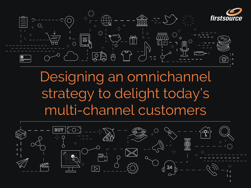

Designing an omnichannel strategy to delight today's multi-channel customers











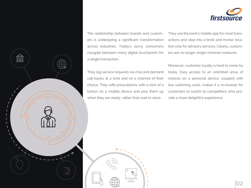The relationship between brands and customers is undergoing a significant transformation across industries. Today's savvy consumers navigate between many digital touchpoints for a single transaction.

They log service requests via chat and demand call-backs at a time and on a channel of their choice. They refill prescriptions with a click of a button on a mobile device and pick them up when they are ready, rather than wait in-store.





They use the bank's mobile app for most transactions and step into a brick and mortar location only for advisory services. Clearly, customers are no longer single-channel creatures.

Moreover, customer loyalty is hard to come by today. Easy access to an unlimited array of choices on a personal device, coupled with low switching costs, makes it a no-brainer for customers to switch to competitors who provide a more delightful experience.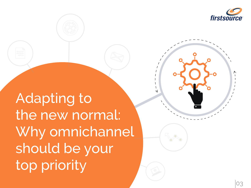Adapting to the new normal: Why omnichannel should be your top priority



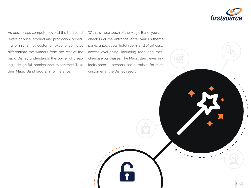As businesses compete beyond the traditional levers of price, product and promotion, providing omnichannel customer experience helps differentiate the winners from the rest of the pack. Disney understands the power of creating a delightful, omnichannel experience. Take their Magic Band program, for instance.

With a simple touch of the Magic Band, you can check in at the entrance, enter various theme parks, unlock your hotel room, and effortlessly access everything, including food and merchandise purchases. The Magic Band even unlocks special, personalized surprises for each customer at the Disney resort.



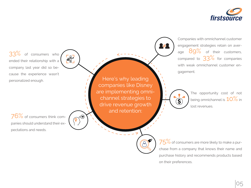$75\%$  of consumers are more likely to make a purchase from a company that knows their name and purchase history and recommends products based on their preferences.



33% of consumers who ended their relationship with a company last year did so because the experience wasn't personalized enough.

EN

 $\cdot \left( \begin{smallmatrix} \boxed{10} \ \boxed{10} \end{smallmatrix} \right)$ 

76% of consumers think companies should understand their expectations and needs.

The opportunity cost of not being omnichannel is  $10\%$  in lost revenues.

Here's why leading companies like Disney are implementing omnichannel strategies to drive revenue growth and retention:

Companies with omnichannel customer engagement strategies retain on average 89% of their customers, compared to  $33\%$  for companies with weak omnichannel customer en-

gagement.

 $\mathbf{\hat{S}}$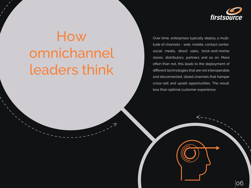# How omnichannel leaders think



Over time, enterprises typically deploy a multitude of channels - web, mobile, contact center, social media, direct sales, brick-and-mortar stores, distributors, partners and so on. More often than not, this leads to the deployment of different technologies that are not interoperable and disconnected, siloed channels that hamper cross-sell and upsell opportunities. The result: less than optimal customer experience.

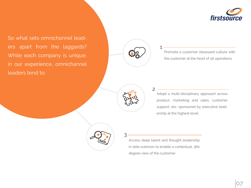So what sets omnichannel leaders apart from the laggards? While each company is unique, in our experience, omnichannel leaders tend to:



Promote a customer obsessed culture with the customer at the heart of all operations. 1



Adopt a multi-disciplinary approach across product, marketing and sales, customer support, etc. sponsored by executive leadership at the highest level.



Access deep talent and thought leadership in data sciences to enable a contextual, 360 degree view of the customer.

2



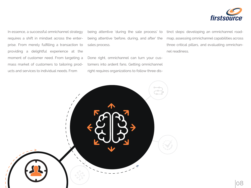In essence, a successful omnichannel strategy requires a shift in mindset across the enterprise. From merely fulfilling a transaction to providing a delightful experience at the moment of customer need. From targeting a mass market of customers to tailoring products and services to individual needs. From

being attentive 'during the sale process' to being attentive 'before, during, and after' the sales process.

Done right, omnichannel can turn your customers into ardent fans. Getting omnichannel right requires organizations to follow three distinct steps: developing an omnichannel roadmap, assessing omnichannel capabilities across three critical pillars, and evaluating omnichannel readiness.



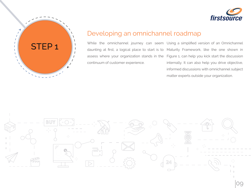While the omnichannel journey can seem Using a simplified version of an Omnichannel daunting at first, a logical place to start is to Maturity Framework, like the one shown in assess where your organization stands in the Figure 1, can help you kick start the discussion continuum of customer experience.

internally. It can also help you drive objective, informed discussions with omnichannel subject matter experts outside your organization.



## Developing an omnichannel roadmap



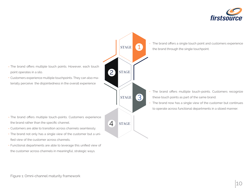- The brand offers multiple touch-points. Customers experience the brand rather than the specific channel.
- Customers are able to transition across channels seamlessly. •
- The brand not only has a single view of the customer but a unified view of the customer across channels.
- Functional departments are able to leverage this unified view of the customer across channels in meaningful, strategic ways.

The brand offers a single touch point and customers experience •

• The brand offers multiple touch-points. Customers recognize

• The brand now has a single view of the customer but continues



- The brand offers multiple touch points. However, each touch point operates in a silo.
- Customers experience multiple touchpoints. They can also materially perceive the disjointedness in the overall experience



2

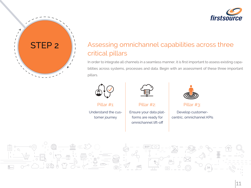

# STEP 2 Assessing omnichannel capabilities across three critical pillars

Understand the customer journey



Pillar #1: Pillar #2: Pillar #3:

Ensure your data platforms are ready for omnichannel lift-off



Develop customercentric, omnichannel KPIs







In order to integrate all channels in a seamless manner, it is first important to assess existing capabilities across systems, processes and data. Begin with an assessment of these three important pillars.

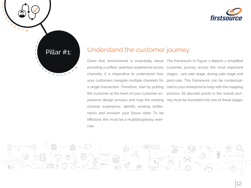

# Pillar #1: Understand the customer journey

a single transaction. Therefore, start by putting the customer at the heart of your customer exchannel experience, identify existing bottlenecks and envision your future state. To be effective, this must be a multidisciplinary exercise.

Given that omnichannel is essentially about The framework in Figure 2 depicts a simplified providing a unified, seamless experience across customer journey across the most important channels, it is imperative to understand how stages - pre-sale stage, during-sale stage and your customers navigate multiple channels for post-sale. This framework can be contextualperience design process and map the existing ney must be bucketed into one of these stages. ized to your enterprise to help with the mapping process. All discrete points in the overall jour-



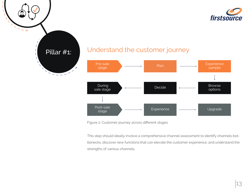

# Pillar #1: Understand the customer journey





This step should ideally involve a comprehensive channel assessment to identify channels bottlenecks, discover new functions that can elevate the customer experience, and understand the strengths of various channels.



Figure 2: Customer journey across different stages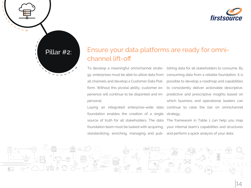personal.

To develop a meaningful omnichannel strate-lishing data for all stakeholders to consume. By gy, enterprises must be able to utilize data from consuming data from a reliable foundation, it is all channels and develop a Customer Data Plat- possible to develop a roadmap and capabilities form. Without this pivotal ability, customer ex- to consistently deliver actionable descriptive, perience will continue to be disjointed and im-predictive and prescriptive insights based on Laying an integrated enterprise-wide data continue to raise the bar on omnichannel which business and operational leaders can

foundation enables the creation of a single strategy. standardizing, enriching, managing and pub-and perform a quick analysis of your data.

source of truth for all stakeholders. The data The framework in Table 1 can help you map foundation team must be tasked with acquiring, your internal team's capabilities and structures





# Ensure your data platforms are ready for omnichannel lift-off

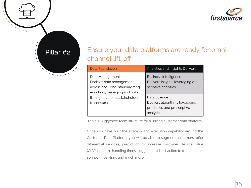| <b>Data Foundation</b>                                                                                                                                               | <b>Analytics and Insights Delivery</b>                                                      |
|----------------------------------------------------------------------------------------------------------------------------------------------------------------------|---------------------------------------------------------------------------------------------|
| Data Management<br>Enables data management -<br>across acquiring, standardizing,<br>enriching, managing and pub-<br>lishing data for all stakeholders<br>to consume. | <b>Business Intelligence</b><br>Delivers insights leveraging de-<br>scriptive analytics.    |
|                                                                                                                                                                      | Data Science<br>Delivers algorithms leveraging<br>predictive and prescriptive<br>analytics. |

Table 1: Suggested team structure for a unified customer data platform

Once you have built the strategy and execution capability around the Customer Data Platform, you will be able to segment customers, offer differential services, predict churn, increase customer lifetime value (CLV), optimize handling times, suggest next best action to frontline personnel in real-time and much more.





- 
- 
- 
- 

15

# Ensure your data platforms are ready for omnichannel lift-off

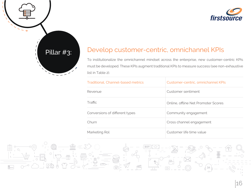

# Pillar #3: Develop customer-centric, omnichannel KPIs

To institutionalize the omnichannel mindset across the enterprise, new customer-centric KPIs must be developed. These KPIs augment traditional KPIs to measure success (see non-exhaustive list in Table 2).

| Traditional, Channel-based metrics | Customer-centric,   |
|------------------------------------|---------------------|
| Revenue                            | Customer sentime    |
| Traffic                            | Online, offline Net |
| Conversions of different types     | Community engag     |
| Churn                              | Cross channel end   |
| Marketing Rol                      | Customer life time  |





#### omnichannel KPIs

ent

Promoter Scores

gement

gagement

e value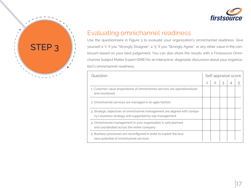

# Evaluating omnichannel readiness

Use the questionnaire in Figure 3 to evaluate your organization's omnichannel readiness. Give yourself a "1" if you "Strongly Disagree", a "5" if you "Strongly Agree", or any other value in the continuum based on your best judgement. You can also share the results with a Firstsource Omnichannel Subject Matter Expert (SME) for an interactive, diagnostic discussion about your organization's omnichannel readiness.

**Question** 

|    | Self appraisal score |                |   |   |   |  |  |
|----|----------------------|----------------|---|---|---|--|--|
|    | $\mathbf 1$          | $\overline{2}$ | 3 | 4 | 5 |  |  |
| J  |                      |                |   |   |   |  |  |
|    |                      |                |   |   |   |  |  |
| a- |                      |                |   |   |   |  |  |
|    |                      |                |   |   |   |  |  |
|    |                      |                |   |   |   |  |  |

- 1. Customer value propositions of omnichannel services are operationalized and monitored
- 2. Omnichannel services are managed in an agile fashion
- 3. Strategic objectives of omnichannel management are aligned with company's business strategy and supported by top management
- 4. Omnichannel management in your organization is well planned and coordinated across the entire company
- 5. Business processes are reconfigured in order to exploit the busi ness potential of omnichannel services

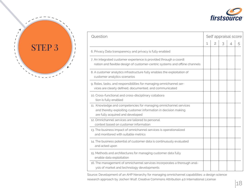| Question                                                                                                                                                               | Self appraisal score |                |   |  |
|------------------------------------------------------------------------------------------------------------------------------------------------------------------------|----------------------|----------------|---|--|
|                                                                                                                                                                        |                      | $\overline{2}$ | 3 |  |
| 6. Privacy Data transparency and privacy is fully enabled                                                                                                              |                      |                |   |  |
| 7. An integrated customer experience is provided through a coordi<br>nation and flexible design of customer-centric systems and offline channels                       |                      |                |   |  |
| 8. A customer analytics infrastructure fully enables the exploitation of<br>customer analytics scenarios                                                               |                      |                |   |  |
| 9. Roles, tasks, and responsibilities for managing omnichannel ser-<br>vices are clearly defined, documented, and communicated                                         |                      |                |   |  |
| 10. Cross-functional and cross-disciplinary collabora<br>tion is fully enabled                                                                                         |                      |                |   |  |
| 11. Knowledge and competencies for managing omnichannel services<br>and thereby exploiting customer information in decision making<br>are fully acquired and developed |                      |                |   |  |
| 12. Omnichannel services are tailored to personal<br>context based on customer information                                                                             |                      |                |   |  |
| 13. The business impact of omnichannel services is operationalized<br>and monitored with suitable metrics                                                              |                      |                |   |  |
| 14. The business potential of customer data is continuously evaluated<br>and acted upon                                                                                |                      |                |   |  |
| 15. Methods and architectures for managing customer data fully<br>enable data exploitation                                                                             |                      |                |   |  |
| 16. The management of omnichannel services incorporates a thorough anal-<br>ysis of market and technology developments                                                 |                      |                |   |  |

- 6. Privacy Data transparency and privacy is fully enabled
- 7. An integrated customer experience is provided through a coordi nation and flexible design of customer-centric systems and offline channel
- 8. A customer analytics infrastructure fully enables the exploitation of customer analytics scenarios
- 9. Roles, tasks, and responsibilities for managing omnichannel ser vices are clearly defined, documented, and communicated
- 10. Cross-functional and cross-disciplinary collabora tion is fully enabled
- 11. Knowledge and competencies for managing omnichannel services and thereby exploiting customer information in decision making are fully acquired and developed
- 12. Omnichannel services are tailored to personal context based on customer information
- 13. The business impact of omnichannel services is operationalized and monitored with suitable metrics
- 14. The business potential of customer data is continuously evaluated and acted upon
- 15. Methods and architectures for managing customer data fully enable data exploitation
- 16. The management of omnichannel services incorporates a thorough anal ysis of market and technology developments

Source: Development of an AHP hierarchy for managing omnichannel capabilities: a design science research approach by Jochen Wulf. Creative Commons Attribution 4.0 International License



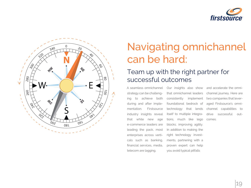

# Navigating omnichannel can be hard:

# Team up with the right partner for successful outcomes

strategy can be challenging to achieve both during and after implementation. Firstsource industry insights reveal that while new age e-commerce leaders are leading the pack, most enterprises across verticals such as banking, financial services, media, telecom are lagging.

A seamless omnichannel Our insights also show and accelerate the omnithat omnichannel leaders channel journey. Here are consistently implement foundational bedrock of technology that lends itself to multiple integrations, much like lego blocks, improving agility. In addition to making the right technology investments, partnering with a proven expert can help you avoid typical pitfalls two companies that leveraged Firstsource's omnichannel capabilities to drive successful outcomes.

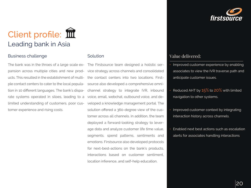# Client profile: III Leading bank in Asia

### Business challenge **Solution** Solution

The bank was in the throes of a large scale ex- The Firstsource team designed a holistic serpansion across multiple cities and new prod-vice strategy across channels and consolidated ucts. This resulted in the establishment of multi-the contact centers into two locations. Firstple contact centers to cater to the local popula-source also developed a comprehensive omnition in 10 different languages. The bank's dispa-channel strategy to integrate IVR, inbound rate systems operated in siloes, leading to a voice, email, webchat, outbound voice, and delimited understanding of customers, poor cus-veloped a knowledge management portal. The tomer experience and rising costs.

• Improved customer experience by enabling associates to view the IVR traverse path and

• Improved customer context by integrating interaction history across channels.

solution offered a 360-degree view of the customer across all channels. In addition, the team deployed a forward-looking strategy to leverage data and analyze customer life time value, segments, spend patterns, sentiments and emotions. Firstsource also developed protocols for next-best-actions on the bank's products, interactions based on customer sentiment, location inference, and self-help education.

## Value delivered:

Reduced AHT by 15% to 20% with limited

- anticipate customer issues.
- navigation to other systems.
- 
- 



Enabled next best actions such as escalation alerts for associates handling interactions

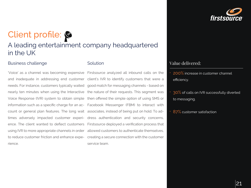# Client profile: A leading entertainment company headquartered in the UK

#### Solution

and inadequate in addressing end customer client's IVR to identify customers that were a needs. For instance, customers typically waited good match for messaging channels - based on nearly ten minutes when using the Interactive the nature of their requests. This segment was Voice Response (IVR) system to obtain simple then offered the simple option of using SMS or information such as a specific charge for an ac-Facebook Messenger (FBM) to interact with count or general plan features. The long wait associates, instead of being put on hold. To adtimes adversely impacted customer experi-dress authentication and security concerns, ence. The client wanted to deflect customers Firstsource deployed a verification process that using IVR to more appropriate channels in order allowed customers to authenticate themselves, to reduce customer friction and enhance expe-creating a secure connection with the customer rience.

- efficiency.
- to messaging.
- $\cdot$   $~87\%$  customer satisfaction



'Voice' as a channel was becoming expensive Firstsource analyzed all inbound calls on the service team.

### 200% increase in customer channel

## 30% of calls on IVR successfully diverted

#### Business challenge

21

## Value delivered: